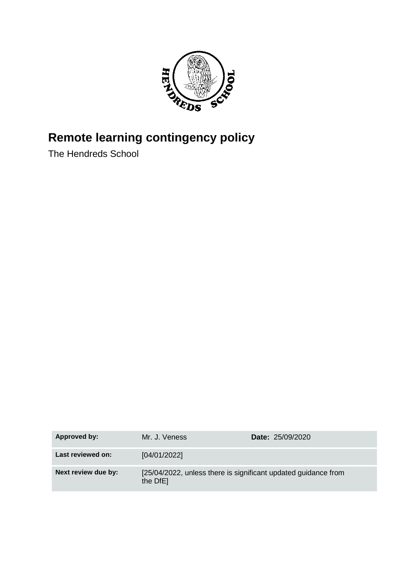

# **Remote learning contingency policy**

The Hendreds School

| Approved by:        | Mr. J. Veness                                                              | <b>Date: 25/09/2020</b> |
|---------------------|----------------------------------------------------------------------------|-------------------------|
| Last reviewed on:   | [04/01/2022]                                                               |                         |
| Next review due by: | [25/04/2022, unless there is significant updated guidance from<br>the DfE] |                         |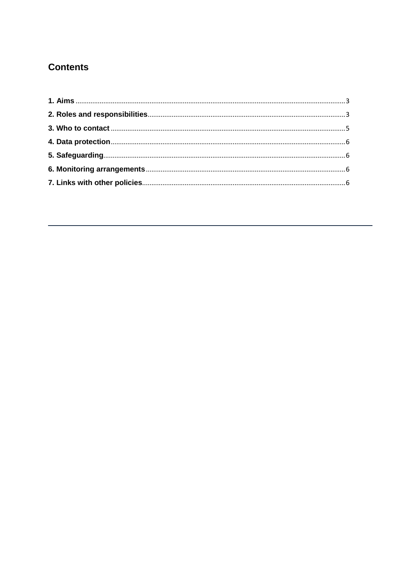# **Contents**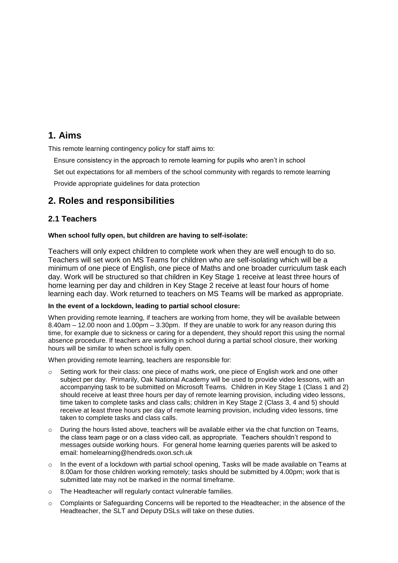# <span id="page-2-0"></span>**1. Aims**

This remote learning contingency policy for staff aims to:

- Ensure consistency in the approach to remote learning for pupils who aren't in school
- Set out expectations for all members of the school community with regards to remote learning

Provide appropriate guidelines for data protection

# <span id="page-2-1"></span>**2. Roles and responsibilities**

#### **2.1 Teachers**

#### **When school fully open, but children are having to self-isolate:**

Teachers will only expect children to complete work when they are well enough to do so. Teachers will set work on MS Teams for children who are self-isolating which will be a minimum of one piece of English, one piece of Maths and one broader curriculum task each day. Work will be structured so that children in Key Stage 1 receive at least three hours of home learning per day and children in Key Stage 2 receive at least four hours of home learning each day. Work returned to teachers on MS Teams will be marked as appropriate.

#### **In the event of a lockdown, leading to partial school closure:**

When providing remote learning, if teachers are working from home, they will be available between 8.40am – 12.00 noon and 1.00pm – 3.30pm. If they are unable to work for any reason during this time, for example due to sickness or caring for a dependent, they should report this using the normal absence procedure. If teachers are working in school during a partial school closure, their working hours will be similar to when school is fully open.

When providing remote learning, teachers are responsible for:

- $\circ$  Setting work for their class: one piece of maths work, one piece of English work and one other subject per day. Primarily, Oak National Academy will be used to provide video lessons, with an accompanying task to be submitted on Microsoft Teams. Children in Key Stage 1 (Class 1 and 2) should receive at least three hours per day of remote learning provision, including video lessons, time taken to complete tasks and class calls; children in Key Stage 2 (Class 3, 4 and 5) should receive at least three hours per day of remote learning provision, including video lessons, time taken to complete tasks and class calls.
- $\circ$  During the hours listed above, teachers will be available either via the chat function on Teams, the class team page or on a class video call, as appropriate. Teachers shouldn't respond to messages outside working hours. For general home learning queries parents will be asked to email: homelearning@hendreds.oxon.sch.uk
- o In the event of a lockdown with partial school opening, Tasks will be made available on Teams at 8.00am for those children working remotely; tasks should be submitted by 4.00pm; work that is submitted late may not be marked in the normal timeframe.
- o The Headteacher will regularly contact vulnerable families.
- o Complaints or Safeguarding Concerns will be reported to the Headteacher; in the absence of the Headteacher, the SLT and Deputy DSLs will take on these duties.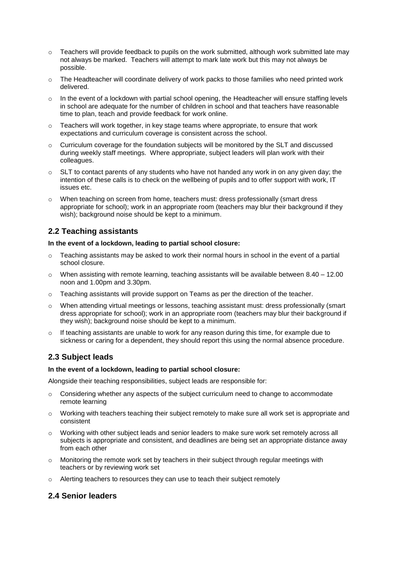- $\circ$  Teachers will provide feedback to pupils on the work submitted, although work submitted late may not always be marked. Teachers will attempt to mark late work but this may not always be possible.
- $\circ$  The Headteacher will coordinate delivery of work packs to those families who need printed work delivered.
- o In the event of a lockdown with partial school opening, the Headteacher will ensure staffing levels in school are adequate for the number of children in school and that teachers have reasonable time to plan, teach and provide feedback for work online.
- $\circ$  Teachers will work together, in key stage teams where appropriate, to ensure that work expectations and curriculum coverage is consistent across the school.
- o Curriculum coverage for the foundation subjects will be monitored by the SLT and discussed during weekly staff meetings. Where appropriate, subject leaders will plan work with their colleagues.
- $\circ$  SLT to contact parents of any students who have not handed any work in on any given day; the intention of these calls is to check on the wellbeing of pupils and to offer support with work, IT issues etc.
- o When teaching on screen from home, teachers must: dress professionally (smart dress appropriate for school); work in an appropriate room (teachers may blur their background if they wish); background noise should be kept to a minimum.

#### **2.2 Teaching assistants**

#### **In the event of a lockdown, leading to partial school closure:**

- $\circ$  Teaching assistants may be asked to work their normal hours in school in the event of a partial school closure.
- o When assisting with remote learning, teaching assistants will be available between 8.40 12.00 noon and 1.00pm and 3.30pm.
- o Teaching assistants will provide support on Teams as per the direction of the teacher.
- When attending virtual meetings or lessons, teaching assistant must: dress professionally (smart dress appropriate for school); work in an appropriate room (teachers may blur their background if they wish); background noise should be kept to a minimum.
- $\circ$  If teaching assistants are unable to work for any reason during this time, for example due to sickness or caring for a dependent, they should report this using the normal absence procedure.

#### **2.3 Subject leads**

#### **In the event of a lockdown, leading to partial school closure:**

Alongside their teaching responsibilities, subject leads are responsible for:

- $\circ$  Considering whether any aspects of the subject curriculum need to change to accommodate remote learning
- o Working with teachers teaching their subject remotely to make sure all work set is appropriate and consistent
- $\circ$  Working with other subject leads and senior leaders to make sure work set remotely across all subjects is appropriate and consistent, and deadlines are being set an appropriate distance away from each other
- $\circ$  Monitoring the remote work set by teachers in their subject through regular meetings with teachers or by reviewing work set
- o Alerting teachers to resources they can use to teach their subject remotely

#### **2.4 Senior leaders**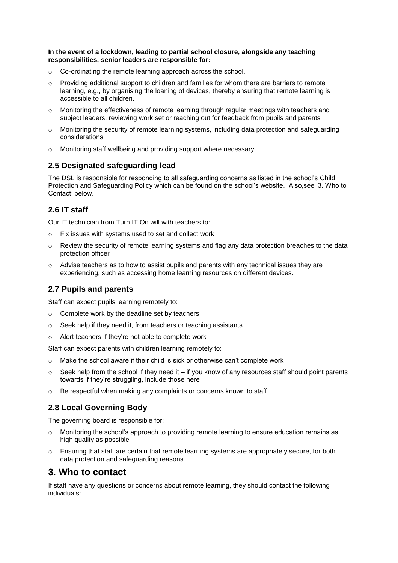**In the event of a lockdown, leading to partial school closure, alongside any teaching responsibilities, senior leaders are responsible for:**

- o Co-ordinating the remote learning approach across the school.
- $\circ$  Providing additional support to children and families for whom there are barriers to remote learning, e.g., by organising the loaning of devices, thereby ensuring that remote learning is accessible to all children.
- o Monitoring the effectiveness of remote learning through regular meetings with teachers and subject leaders, reviewing work set or reaching out for feedback from pupils and parents
- $\circ$  Monitoring the security of remote learning systems, including data protection and safeguarding considerations
- o Monitoring staff wellbeing and providing support where necessary.

## **2.5 Designated safeguarding lead**

The DSL is responsible for responding to all safeguarding concerns as listed in the school's Child Protection and Safeguarding Policy which can be found on the school's website. Also,see '3. Who to Contact' below.

## **2.6 IT staff**

Our IT technician from Turn IT On will with teachers to:

- o Fix issues with systems used to set and collect work
- $\circ$  Review the security of remote learning systems and flag any data protection breaches to the data protection officer
- $\circ$  Advise teachers as to how to assist pupils and parents with any technical issues they are experiencing, such as accessing home learning resources on different devices.

#### **2.7 Pupils and parents**

Staff can expect pupils learning remotely to:

- o Complete work by the deadline set by teachers
- o Seek help if they need it, from teachers or teaching assistants
- o Alert teachers if they're not able to complete work

Staff can expect parents with children learning remotely to:

- $\circ$  Make the school aware if their child is sick or otherwise can't complete work
- $\circ$  Seek help from the school if they need it if you know of any resources staff should point parents towards if they're struggling, include those here
- o Be respectful when making any complaints or concerns known to staff

#### **2.8 Local Governing Body**

The governing board is responsible for:

- $\circ$  Monitoring the school's approach to providing remote learning to ensure education remains as high quality as possible
- $\circ$  Ensuring that staff are certain that remote learning systems are appropriately secure, for both data protection and safeguarding reasons

# <span id="page-4-0"></span>**3. Who to contact**

If staff have any questions or concerns about remote learning, they should contact the following individuals: